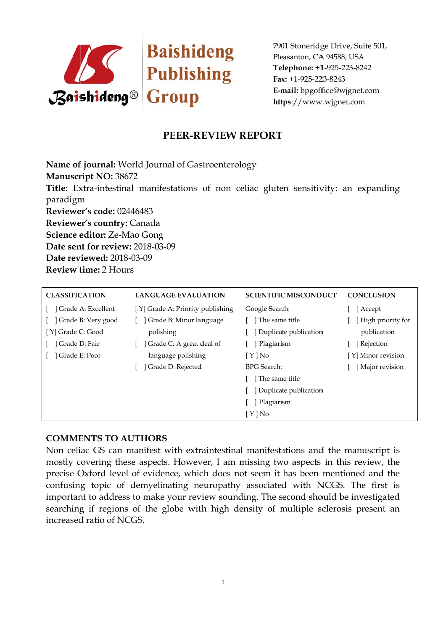

7901 Stoneridge Drive, Suite 501, Pleasanton, CA 94588, USA Telephone: +1-925-223-8242 Fax: +1-925-223-8243 E-mail: bpgoffice@wjgnet.com https://www.wjgnet.com

# PEER-REVIEW REPORT

Name of journal: World Journal of Gastroenterology Manuscript NO: 38672 Title: Extra-intestinal manifestations of non celiac gluten sensitivity: an expanding paradigm Reviewer's code: 02446483 Reviewer's country: Canada Science editor: Ze-Mao Gong Date sent for review: 2018-03-09 Date reviewed: 2018-03-09 Review time: 2 Hours

| <b>CLASSIFICATION</b> | <b>LANGUAGE EVALUATION</b>       | <b>SCIENTIFIC MISCONDUCT</b> | <b>CONCLUSION</b>  |
|-----------------------|----------------------------------|------------------------------|--------------------|
| Grade A: Excellent    | [Y] Grade A: Priority publishing | Google Search:               | Accept             |
| Grade B: Very good    | Grade B: Minor language          | The same title               | High priority for  |
| [Y] Grade C: Good     | polishing                        | Duplicate publication        | publication        |
| Grade D: Fair         | Grade C: A great deal of         | Plagiarism                   | Rejection          |
| Grade E: Poor         | language polishing               | [Y]No                        | [Y] Minor revision |
|                       | Grade D: Rejected                | <b>BPG</b> Search:           | Major revision     |
|                       |                                  | The same title               |                    |
|                       |                                  | Duplicate publication        |                    |
|                       |                                  | Plagiarism                   |                    |
|                       |                                  | $[ Y ]$ No                   |                    |

### **COMMENTS TO AUTHORS**

Non celiac GS can manifest with extraintestinal manifestations and the manuscript is mostly covering these aspects. However, I am missing two aspects in this review, the precise Oxford level of evidence, which does not seem it has been mentioned and the confusing topic of demyelinating neuropathy associated with NCGS. The first is important to address to make your review sounding. The second should be investigated searching if regions of the globe with high density of multiple sclerosis present an increased ratio of NCGS.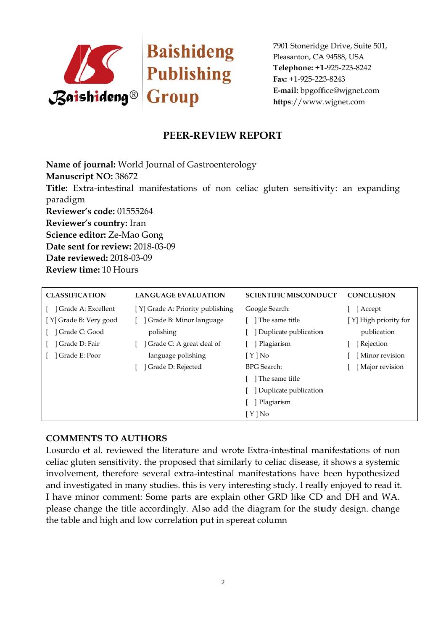

7901 Stoneridge Drive, Suite 501, Pleasanton, CA 94588, USA Telephone: +1-925-223-8242 Fax: +1-925-223-8243 E-mail: bpgoffice@wjgnet.com https://www.wjgnet.com

## PEER-REVIEW REPORT

Name of journal: World Journal of Gastroenterology Manuscript NO: 38672 Title: Extra-intestinal manifestations of non celiac gluten sensitivity: an expanding paradigm Reviewer's code: 01555264 Reviewer's country: Iran Science editor: Ze-Mao Gong Date sent for review: 2018-03-09 Date reviewed: 2018-03-09 Review time: 10 Hours

| <b>CLASSIFICATION</b>  | <b>LANGUAGE EVALUATION</b>       | <b>SCIENTIFIC MISCONDUCT</b> | <b>CONCLUSION</b>     |
|------------------------|----------------------------------|------------------------------|-----------------------|
| Grade A: Excellent     | [Y] Grade A: Priority publishing | Google Search:               | Accept                |
| [Y] Grade B: Very good | Grade B: Minor language          | The same title               | [Y] High priority for |
| Grade C: Good          | polishing                        | Duplicate publication        | publication           |
| Grade D: Fair          | Grade C: A great deal of         | Plagiarism                   | Rejection             |
| Grade E: Poor          | language polishing               | [ Y ] No                     | Minor revision        |
|                        | Grade D: Rejected                | <b>BPG</b> Search:           | Major revision        |
|                        |                                  | The same title               |                       |
|                        |                                  | Duplicate publication        |                       |
|                        |                                  | Plagiarism                   |                       |
|                        |                                  | [ Y ] No                     |                       |

### **COMMENTS TO AUTHORS**

Losurdo et al. reviewed the literature and wrote Extra-intestinal manifestations of non celiac gluten sensitivity. the proposed that similarly to celiac disease, it shows a systemic involvement, therefore several extra-intestinal manifestations have been hypothesized and investigated in many studies. this is very interesting study. I really enjoyed to read it. I have minor comment: Some parts are explain other GRD like CD and DH and WA. please change the title accordingly. Also add the diagram for the study design. change the table and high and low correlation put in spereat column